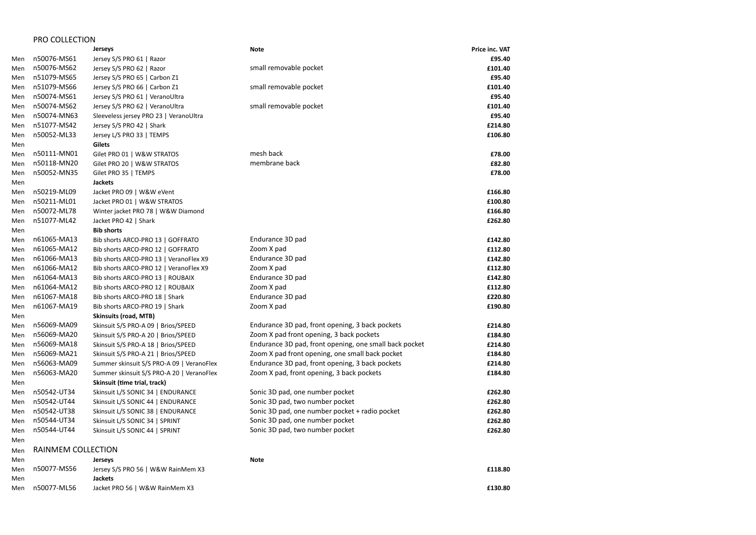|     | <b>PRO COLLECTION</b> |                                           |                                                        |                       |
|-----|-----------------------|-------------------------------------------|--------------------------------------------------------|-----------------------|
|     |                       | <b>Jerseys</b>                            | <b>Note</b>                                            | <b>Price inc. VAT</b> |
| Men | n50076-MS61           | Jersey S/S PRO 61   Razor                 |                                                        | £95.40                |
| Men | n50076-MS62           | Jersey S/S PRO 62   Razor                 | small removable pocket                                 | £101.40               |
| Men | n51079-MS65           | Jersey S/S PRO 65   Carbon Z1             |                                                        | £95.40                |
| Men | n51079-MS66           | Jersey S/S PRO 66   Carbon Z1             | small removable pocket                                 | £101.40               |
| Men | n50074-MS61           | Jersey S/S PRO 61   VeranoUltra           |                                                        | £95.40                |
| Men | n50074-MS62           | Jersey S/S PRO 62   VeranoUltra           | small removable pocket                                 | £101.40               |
| Men | n50074-MN63           | Sleeveless jersey PRO 23   VeranoUltra    |                                                        | £95.40                |
| Men | n51077-MS42           | Jersey S/S PRO 42   Shark                 |                                                        | £214.80               |
| Men | n50052-ML33           | Jersey L/S PRO 33   TEMPS                 |                                                        | £106.80               |
| Men |                       | <b>Gilets</b>                             |                                                        |                       |
| Men | n50111-MN01           | Gilet PRO 01   W&W STRATOS                | mesh back                                              | £78.00                |
| Men | n50118-MN20           | Gilet PRO 20   W&W STRATOS                | membrane back                                          | £82.80                |
| Men | n50052-MN35           | Gilet PRO 35   TEMPS                      |                                                        | £78.00                |
| Men |                       | <b>Jackets</b>                            |                                                        |                       |
| Men | n50219-ML09           | Jacket PRO 09   W&W eVent                 |                                                        | £166.80               |
| Men | n50211-ML01           | Jacket PRO 01   W&W STRATOS               |                                                        | £100.80               |
| Men | n50072-ML78           | Winter jacket PRO 78   W&W Diamond        |                                                        | £166.80               |
| Men | n51077-ML42           | Jacket PRO 42   Shark                     |                                                        | £262.80               |
| Men |                       | <b>Bib shorts</b>                         |                                                        |                       |
| Men | n61065-MA13           | Bib shorts ARCO-PRO 13   GOFFRATO         | Endurance 3D pad                                       | £142.80               |
| Men | n61065-MA12           | Bib shorts ARCO-PRO 12   GOFFRATO         | Zoom X pad                                             | £112.80               |
| Men | n61066-MA13           | Bib shorts ARCO-PRO 13   VeranoFlex X9    | Endurance 3D pad                                       | £142.80               |
| Men | n61066-MA12           | Bib shorts ARCO-PRO 12   VeranoFlex X9    | Zoom X pad                                             | £112.80               |
| Men | n61064-MA13           | Bib shorts ARCO-PRO 13   ROUBAIX          | Endurance 3D pad                                       | £142.80               |
| Men | n61064-MA12           | Bib shorts ARCO-PRO 12   ROUBAIX          | Zoom X pad                                             | £112.80               |
| Men | n61067-MA18           | Bib shorts ARCO-PRO 18   Shark            | Endurance 3D pad                                       | £220.80               |
| Men | n61067-MA19           | Bib shorts ARCO-PRO 19   Shark            | Zoom X pad                                             | £190.80               |
| Men |                       | <b>Skinsuits (road, MTB)</b>              |                                                        |                       |
| Men | n56069-MA09           | Skinsuit S/S PRO-A 09   Brios/SPEED       | Endurance 3D pad, front opening, 3 back pockets        | £214.80               |
| Men | n56069-MA20           | Skinsuit S/S PRO-A 20   Brios/SPEED       | Zoom X pad front opening, 3 back pockets               | £184.80               |
| Men | n56069-MA18           | Skinsuit S/S PRO-A 18   Brios/SPEED       | Endurance 3D pad, front opening, one small back pocket | £214.80               |
| Men | n56069-MA21           | Skinsuit S/S PRO-A 21   Brios/SPEED       | Zoom X pad front opening, one small back pocket        | £184.80               |
| Men | n56063-MA09           | Summer skinsuit S/S PRO-A 09   VeranoFlex | Endurance 3D pad, front opening, 3 back pockets        | £214.80               |
| Men | n56063-MA20           | Summer skinsuit S/S PRO-A 20   VeranoFlex | Zoom X pad, front opening, 3 back pockets              | £184.80               |
| Men |                       | Skinsuit (time trial, track)              |                                                        |                       |
| Men | n50542-UT34           | Skinsuit L/S SONIC 34   ENDURANCE         | Sonic 3D pad, one number pocket                        | £262.80               |
| Men | n50542-UT44           | Skinsuit L/S SONIC 44   ENDURANCE         | Sonic 3D pad, two number pocket                        | £262.80               |
| Men | n50542-UT38           | Skinsuit L/S SONIC 38   ENDURANCE         | Sonic 3D pad, one number pocket + radio pocket         | £262.80               |
| Men | n50544-UT34           | Skinsuit L/S SONIC 34   SPRINT            | Sonic 3D pad, one number pocket                        | £262.80               |
| Men | n50544-UT44           | Skinsuit L/S SONIC 44   SPRINT            | Sonic 3D pad, two number pocket                        | £262.80               |
| Men |                       |                                           |                                                        |                       |
| Men | RAINMEM COLLECTION    |                                           |                                                        |                       |
| Men |                       | <b>Jerseys</b>                            | <b>Note</b>                                            |                       |
| Men | n50077-MS56           | Jersey S/S PRO 56   W&W RainMem X3        |                                                        | £118.80               |
| Men |                       | <b>Jackets</b>                            |                                                        |                       |

## Men n50077-ML56 Jacket PRO 56 | W&W RainMem X3 **£130.80**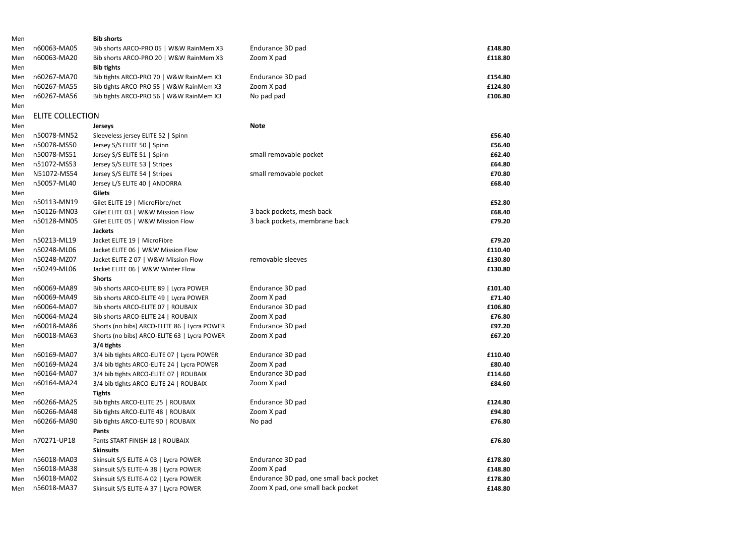| Men |                  | <b>Bib shorts</b>                            |                                         |         |
|-----|------------------|----------------------------------------------|-----------------------------------------|---------|
| Men | n60063-MA05      | Bib shorts ARCO-PRO 05   W&W RainMem X3      | Endurance 3D pad                        | £148.80 |
| Men | n60063-MA20      | Bib shorts ARCO-PRO 20   W&W RainMem X3      | Zoom X pad                              | £118.80 |
| Men |                  | <b>Bib tights</b>                            |                                         |         |
| Men | n60267-MA70      | Bib tights ARCO-PRO 70   W&W RainMem X3      | Endurance 3D pad                        | £154.80 |
| Men | n60267-MA55      | Bib tights ARCO-PRO 55   W&W RainMem X3      | Zoom X pad                              | £124.80 |
| Men | n60267-MA56      | Bib tights ARCO-PRO 56   W&W RainMem X3      | No pad pad                              | £106.80 |
| Men |                  |                                              |                                         |         |
| Men | ELITE COLLECTION |                                              |                                         |         |
| Men |                  | <b>Jerseys</b>                               | <b>Note</b>                             |         |
| Men | n50078-MN52      | Sleeveless jersey ELITE 52   Spinn           |                                         | £56.40  |
| Men | n50078-MS50      | Jersey S/S ELITE 50   Spinn                  |                                         | £56.40  |
| Men | n50078-MS51      | Jersey S/S ELITE 51   Spinn                  | small removable pocket                  | £62.40  |
| Men | n51072-MS53      | Jersey S/S ELITE 53   Stripes                |                                         | £64.80  |
| Men | N51072-MS54      | Jersey S/S ELITE 54   Stripes                | small removable pocket                  | £70.80  |
| Men | n50057-ML40      | Jersey L/S ELITE 40   ANDORRA                |                                         | £68.40  |
| Men |                  | <b>Gilets</b>                                |                                         |         |
| Men | n50113-MN19      | Gilet ELITE 19   MicroFibre/net              |                                         | £52.80  |
| Men | n50126-MN03      | Gilet ELITE 03   W&W Mission Flow            | 3 back pockets, mesh back               | £68.40  |
| Men | n50128-MN05      | Gilet ELITE 05   W&W Mission Flow            | 3 back pockets, membrane back           | £79.20  |
| Men |                  | <b>Jackets</b>                               |                                         |         |
| Men | n50213-ML19      | Jacket ELITE 19   MicroFibre                 |                                         | £79.20  |
| Men | n50248-ML06      | Jacket ELITE 06   W&W Mission Flow           |                                         | £110.40 |
| Men | n50248-MZ07      | Jacket ELITE-Z 07   W&W Mission Flow         | removable sleeves                       | £130.80 |
| Men | n50249-ML06      | Jacket ELITE 06   W&W Winter Flow            |                                         | £130.80 |
| Men |                  | <b>Shorts</b>                                |                                         |         |
| Men | n60069-MA89      | Bib shorts ARCO-ELITE 89   Lycra POWER       | Endurance 3D pad                        | £101.40 |
| Men | n60069-MA49      | Bib shorts ARCO-ELITE 49   Lycra POWER       | Zoom X pad                              | £71.40  |
| Men | n60064-MA07      | Bib shorts ARCO-ELITE 07   ROUBAIX           | Endurance 3D pad                        | £106.80 |
| Men | n60064-MA24      | Bib shorts ARCO-ELITE 24   ROUBAIX           | Zoom X pad                              | £76.80  |
| Men | n60018-MA86      | Shorts (no bibs) ARCO-ELITE 86   Lycra POWER | Endurance 3D pad                        | £97.20  |
| Men | n60018-MA63      | Shorts (no bibs) ARCO-ELITE 63   Lycra POWER | Zoom X pad                              | £67.20  |
| Men |                  | $3/4$ tights                                 |                                         |         |
| Men | n60169-MA07      | 3/4 bib tights ARCO-ELITE 07   Lycra POWER   | Endurance 3D pad                        | £110.40 |
| Men | n60169-MA24      | 3/4 bib tights ARCO-ELITE 24   Lycra POWER   | Zoom X pad                              | £80.40  |
| Men | n60164-MA07      | 3/4 bib tights ARCO-ELITE 07   ROUBAIX       | Endurance 3D pad                        | £114.60 |
| Men | n60164-MA24      | 3/4 bib tights ARCO-ELITE 24   ROUBAIX       | Zoom X pad                              | £84.60  |
| Men |                  | <b>Tights</b>                                |                                         |         |
| Men | n60266-MA25      | Bib tights ARCO-ELITE 25   ROUBAIX           | Endurance 3D pad                        | £124.80 |
| Men | n60266-MA48      | Bib tights ARCO-ELITE 48   ROUBAIX           | Zoom X pad                              | £94.80  |
| Men | n60266-MA90      | Bib tights ARCO-ELITE 90   ROUBAIX           | No pad                                  | £76.80  |
| Men |                  | Pants                                        |                                         |         |
| Men | n70271-UP18      | Pants START-FINISH 18   ROUBAIX              |                                         | £76.80  |
| Men |                  | <b>Skinsuits</b>                             |                                         |         |
| Men | n56018-MA03      | Skinsuit S/S ELITE-A 03   Lycra POWER        | Endurance 3D pad                        | £178.80 |
| Men | n56018-MA38      | Skinsuit S/S ELITE-A 38   Lycra POWER        | Zoom X pad                              | £148.80 |
| Men | n56018-MA02      | Skinsuit S/S ELITE-A 02   Lycra POWER        | Endurance 3D pad, one small back pocket | £178.80 |
| Men | n56018-MA37      | Skinsuit S/S ELITE-A 37   Lycra POWER        | Zoom X pad, one small back pocket       | £148.80 |
|     |                  |                                              |                                         |         |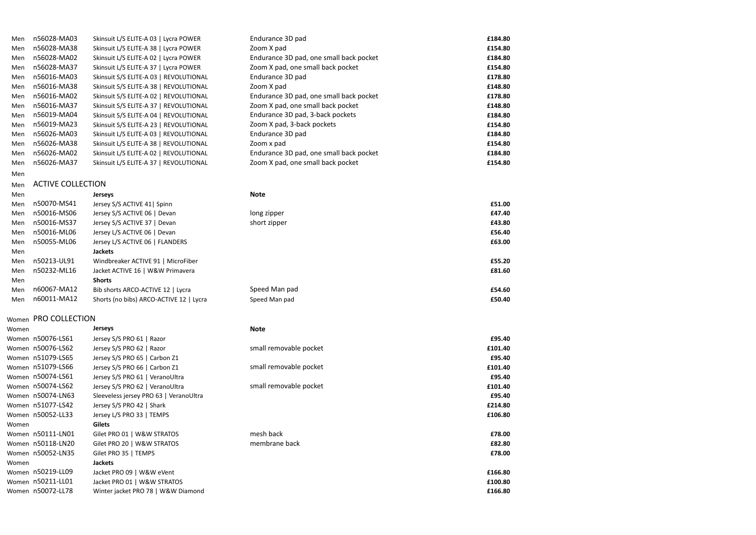| Men   | n56028-MA03              | Skinsuit L/S ELITE-A 03   Lycra POWER   | Endurance 3D pad                        | £184.80 |  |
|-------|--------------------------|-----------------------------------------|-----------------------------------------|---------|--|
| Men   | n56028-MA38              | Skinsuit L/S ELITE-A 38   Lycra POWER   | Zoom X pad                              | £154.80 |  |
| Men   | n56028-MA02              | Skinsuit L/S ELITE-A 02   Lycra POWER   | Endurance 3D pad, one small back pocket | £184.80 |  |
| Men   | n56028-MA37              | Skinsuit L/S ELITE-A 37   Lycra POWER   | Zoom X pad, one small back pocket       | £154.80 |  |
| Men   | n56016-MA03              | Skinsuit S/S ELITE-A 03   REVOLUTIONAL  | Endurance 3D pad                        | £178.80 |  |
| Men   | n56016-MA38              | Skinsuit S/S ELITE-A 38   REVOLUTIONAL  | Zoom X pad                              | £148.80 |  |
| Men   | n56016-MA02              | Skinsuit S/S ELITE-A 02   REVOLUTIONAL  | Endurance 3D pad, one small back pocket | £178.80 |  |
| Men   | n56016-MA37              | Skinsuit S/S ELITE-A 37   REVOLUTIONAL  | Zoom X pad, one small back pocket       | £148.80 |  |
| Men   | n56019-MA04              | Skinsuit S/S ELITE-A 04   REVOLUTIONAL  | Endurance 3D pad, 3-back pockets        | £184.80 |  |
| Men   | n56019-MA23              | Skinsuit S/S ELITE-A 23   REVOLUTIONAL  | Zoom X pad, 3-back pockets              | £154.80 |  |
| Men   | n56026-MA03              | Skinsuit L/S ELITE-A 03   REVOLUTIONAL  | Endurance 3D pad                        | £184.80 |  |
| Men   | n56026-MA38              | Skinsuit L/S ELITE-A 38   REVOLUTIONAL  | Zoom x pad                              | £154.80 |  |
| Men   | n56026-MA02              | Skinsuit L/S ELITE-A 02   REVOLUTIONAL  | Endurance 3D pad, one small back pocket | £184.80 |  |
| Men   | n56026-MA37              | Skinsuit L/S ELITE-A 37   REVOLUTIONAL  | Zoom X pad, one small back pocket       | £154.80 |  |
| Men   |                          |                                         |                                         |         |  |
| Men   | <b>ACTIVE COLLECTION</b> |                                         |                                         |         |  |
| Men   |                          | <b>Jerseys</b>                          | <b>Note</b>                             |         |  |
| Men   | n50070-MS41              | Jersey S/S ACTIVE 41   Spinn            |                                         | £51.00  |  |
| Men   | n50016-MS06              | Jersey S/S ACTIVE 06   Devan            | long zipper                             | £47.40  |  |
| Men   | n50016-MS37              | Jersey S/S ACTIVE 37   Devan            | short zipper                            | £43.80  |  |
| Men   | n50016-ML06              | Jersey L/S ACTIVE 06   Devan            |                                         | £56.40  |  |
| Men   | n50055-ML06              | Jersey L/S ACTIVE 06   FLANDERS         |                                         | £63.00  |  |
| Men   |                          | <b>Jackets</b>                          |                                         |         |  |
| Men   | n50213-UL91              | Windbreaker ACTIVE 91   MicroFiber      |                                         | £55.20  |  |
| Men   | n50232-ML16              | Jacket ACTIVE 16   W&W Primavera        |                                         | £81.60  |  |
| Men   |                          | <b>Shorts</b>                           |                                         |         |  |
| Men   | n60067-MA12              | Bib shorts ARCO-ACTIVE 12   Lycra       | Speed Man pad                           | £54.60  |  |
| Men   | n60011-MA12              | Shorts (no bibs) ARCO-ACTIVE 12   Lycra | Speed Man pad                           | £50.40  |  |
|       |                          |                                         |                                         |         |  |
|       | Women PRO COLLECTION     |                                         |                                         |         |  |
| Women |                          | <b>Jerseys</b>                          | <b>Note</b>                             |         |  |
|       | Women n50076-LS61        | Jersey S/S PRO 61   Razor               |                                         | £95.40  |  |
|       | Women n50076-LS62        | Jersey S/S PRO 62   Razor               | small removable pocket                  | £101.40 |  |
|       | Women n51079-LS65        | Jersey S/S PRO 65   Carbon Z1           |                                         | £95.40  |  |
|       | Women n51079-LS66        | Jersey S/S PRO 66   Carbon Z1           | small removable pocket                  | £101.40 |  |

| Women n50076-LS61 | Jersey S/S PRO 61   Razor              |                        | £95.40  |
|-------------------|----------------------------------------|------------------------|---------|
| Women n50076-LS62 | Jersey S/S PRO 62   Razor              | small removable pocket | £101.40 |
| Women n51079-LS65 | Jersey S/S PRO 65   Carbon Z1          |                        | £95.40  |
| Women n51079-LS66 | Jersey S/S PRO 66   Carbon Z1          | small removable pocket | £101.40 |
| Women n50074-LS61 | Jersey S/S PRO 61   VeranoUltra        |                        | £95.40  |
| Women n50074-LS62 | Jersey S/S PRO 62   VeranoUltra        | small removable pocket | £101.40 |
| Women n50074-LN63 | Sleeveless jersey PRO 63   VeranoUltra |                        | £95.40  |
| Women n51077-LS42 | Jersey S/S PRO 42   Shark              |                        | £214.80 |
| Women n50052-LL33 | Jersey L/S PRO 33   TEMPS              |                        | £106.80 |
| Women             | Gilets                                 |                        |         |
| Women n50111-LN01 | Gilet PRO 01   W&W STRATOS             | mesh back              | £78.00  |
| Women n50118-LN20 | Gilet PRO 20   W&W STRATOS             | membrane back          | £82.80  |
| Women n50052-LN35 | Gilet PRO 35   TEMPS                   |                        | £78.00  |
| Women             | <b>Jackets</b>                         |                        |         |
| Women n50219-LL09 | Jacket PRO 09   W&W eVent              |                        | £166.80 |
| Women n50211-LL01 | Jacket PRO 01   W&W STRATOS            |                        | £100.80 |
| Women n50072-LL78 | Winter jacket PRO 78   W&W Diamond     |                        | £166.80 |

| Women n50074-LN63 | Sleeveless jersey PRO 63   VeranoUltra |
|-------------------|----------------------------------------|
| Women n51077-LS42 | Jersey S/S PRO 42   Shark              |
| Women n50052-LL33 | Jersey L/S PRO 33   TEMPS              |
| Women             | <b>Gilets</b>                          |
| Women n50111-LN01 | Gilet PRO 01   W&W STRATOS             |
| Women n50118-LN20 | Gilet PRO 20   W&W STRATOS             |
| Women n50052-LN35 | Gilet PRO 35   TEMPS                   |
| Women             | <b>Jackets</b>                         |
| Women n50219-LL09 | Jacket PRO 09   W&W eVent              |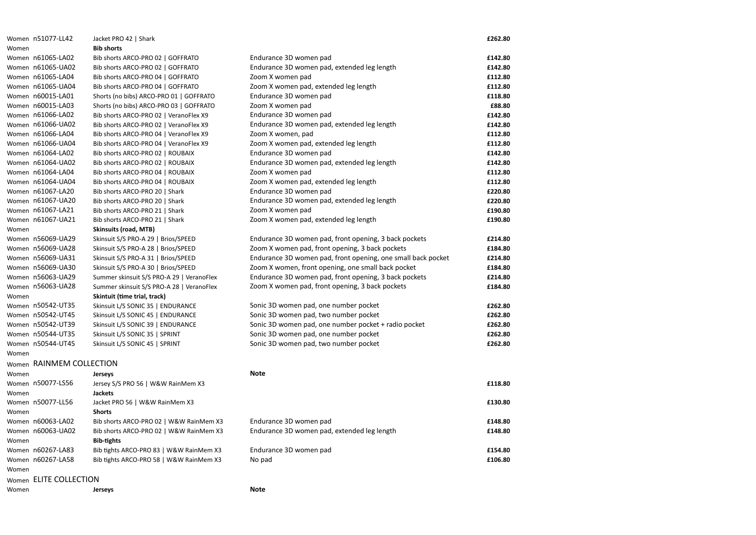| Women n51077-LL42        | Jacket PRO 42   Shark                     |                                                              | £262.80 |
|--------------------------|-------------------------------------------|--------------------------------------------------------------|---------|
| Women                    | <b>Bib shorts</b>                         |                                                              |         |
| Women n61065-LA02        | Bib shorts ARCO-PRO 02   GOFFRATO         | Endurance 3D women pad                                       | £142.80 |
| Women n61065-UA02        | Bib shorts ARCO-PRO 02   GOFFRATO         | Endurance 3D women pad, extended leg length                  | £142.80 |
| Women n61065-LA04        | Bib shorts ARCO-PRO 04   GOFFRATO         | Zoom X women pad                                             | £112.80 |
| Women n61065-UA04        | Bib shorts ARCO-PRO 04   GOFFRATO         | Zoom X women pad, extended leg length                        | £112.80 |
| Women n60015-LA01        | Shorts (no bibs) ARCO-PRO 01   GOFFRATO   | Endurance 3D women pad                                       | £118.80 |
| Women n60015-LA03        | Shorts (no bibs) ARCO-PRO 03   GOFFRATO   | Zoom X women pad                                             | £88.80  |
| Women n61066-LA02        | Bib shorts ARCO-PRO 02   VeranoFlex X9    | Endurance 3D women pad                                       | £142.80 |
| Women n61066-UA02        | Bib shorts ARCO-PRO 02   VeranoFlex X9    | Endurance 3D women pad, extended leg length                  | £142.80 |
| Women n61066-LA04        | Bib shorts ARCO-PRO 04   VeranoFlex X9    | Zoom X women, pad                                            | £112.80 |
| Women n61066-UA04        | Bib shorts ARCO-PRO 04   VeranoFlex X9    | Zoom X women pad, extended leg length                        | £112.80 |
| Women n61064-LA02        | Bib shorts ARCO-PRO 02   ROUBAIX          | Endurance 3D women pad                                       | £142.80 |
| Women n61064-UA02        | Bib shorts ARCO-PRO 02   ROUBAIX          | Endurance 3D women pad, extended leg length                  | £142.80 |
| Women n61064-LA04        | Bib shorts ARCO-PRO 04   ROUBAIX          | Zoom X women pad                                             | £112.80 |
| Women n61064-UA04        | Bib shorts ARCO-PRO 04   ROUBAIX          | Zoom X women pad, extended leg length                        | £112.80 |
| Women n61067-LA20        | Bib shorts ARCO-PRO 20   Shark            | Endurance 3D women pad                                       | £220.80 |
| Women n61067-UA20        | Bib shorts ARCO-PRO 20   Shark            | Endurance 3D women pad, extended leg length                  | £220.80 |
| Women n61067-LA21        | Bib shorts ARCO-PRO 21   Shark            | Zoom X women pad                                             | £190.80 |
| Women n61067-UA21        | Bib shorts ARCO-PRO 21   Shark            | Zoom X women pad, extended leg length                        | £190.80 |
| Women                    | <b>Skinsuits (road, MTB)</b>              |                                                              |         |
| Women n56069-UA29        | Skinsuit S/S PRO-A 29   Brios/SPEED       | Endurance 3D women pad, front opening, 3 back pockets        | £214.80 |
| Women n56069-UA28        | Skinsuit S/S PRO-A 28   Brios/SPEED       | Zoom X women pad, front opening, 3 back pockets              | £184.80 |
| Women n56069-UA31        | Skinsuit S/S PRO-A 31   Brios/SPEED       | Endurance 3D women pad, front opening, one small back pocket | £214.80 |
| Women n56069-UA30        | Skinsuit S/S PRO-A 30   Brios/SPEED       | Zoom X women, front opening, one small back pocket           | £184.80 |
| Women n56063-UA29        | Summer skinsuit S/S PRO-A 29   VeranoFlex | Endurance 3D women pad, front opening, 3 back pockets        | £214.80 |
| Women n56063-UA28        | Summer skinsuit S/S PRO-A 28   VeranoFlex | Zoom X women pad, front opening, 3 back pockets              | £184.80 |
| Women                    | Skintuit (time trial, track)              |                                                              |         |
| Women n50542-UT35        | Skinsuit L/S SONIC 35   ENDURANCE         | Sonic 3D women pad, one number pocket                        | £262.80 |
| Women n50542-UT45        | Skinsuit L/S SONIC 45   ENDURANCE         | Sonic 3D women pad, two number pocket                        | £262.80 |
| Women n50542-UT39        | Skinsuit L/S SONIC 39   ENDURANCE         | Sonic 3D women pad, one number pocket + radio pocket         | £262.80 |
| Women n50544-UT35        | Skinsuit L/S SONIC 35   SPRINT            | Sonic 3D women pad, one number pocket                        | £262.80 |
| Women n50544-UT45        | Skinsuit L/S SONIC 45   SPRINT            | Sonic 3D women pad, two number pocket                        | £262.80 |
| Women                    |                                           |                                                              |         |
| Women RAINMEM COLLECTION |                                           |                                                              |         |
| Women                    | <b>Jerseys</b>                            | <b>Note</b>                                                  |         |
| Women n50077-LS56        | Jersey S/S PRO 56   W&W RainMem X3        |                                                              | £118.80 |
| Women                    | <b>Jackets</b>                            |                                                              |         |
| Women n50077-LL56        | Jacket PRO 56   W&W RainMem X3            |                                                              | £130.80 |
| Women                    | <b>Shorts</b>                             |                                                              |         |
| Women n60063-LA02        | Bib shorts ARCO-PRO 02   W&W RainMem X3   | Endurance 3D women pad                                       | £148.80 |
| Women n60063-UA02        | Bib shorts ARCO-PRO 02   W&W RainMem X3   | Endurance 3D women pad, extended leg length                  | £148.80 |
| Women                    | <b>Bib-tights</b>                         |                                                              |         |
| Women n60267-LA83        | Bib tights ARCO-PRO 83   W&W RainMem X3   | Endurance 3D women pad                                       | £154.80 |
| Women n60267-LA58        | Bib tights ARCO-PRO 58   W&W RainMem X3   | No pad                                                       | £106.80 |
| Women                    |                                           |                                                              |         |
| Women ELITE COLLECTION   |                                           |                                                              |         |
|                          |                                           |                                                              |         |
| Women                    | <b>Jerseys</b>                            | <b>Note</b>                                                  |         |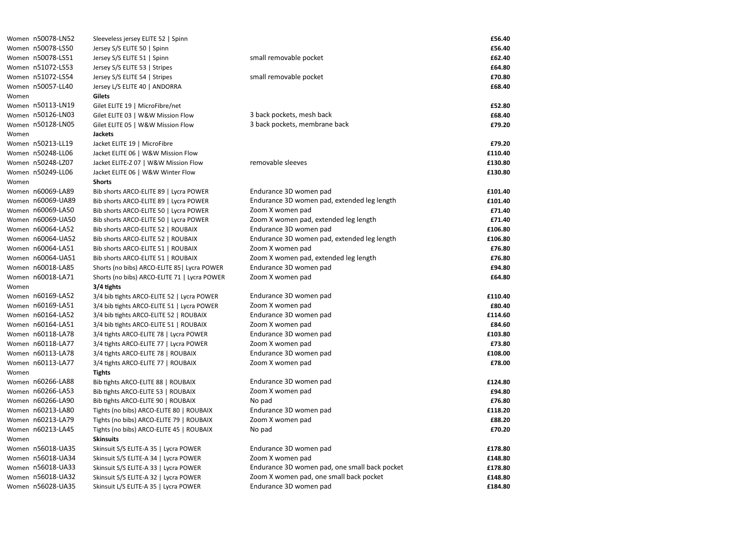|       | Women n50078-LN52 | Sleeveless jersey ELITE 52   Spinn           |                                               | £56.40  |
|-------|-------------------|----------------------------------------------|-----------------------------------------------|---------|
|       | Women n50078-LS50 | Jersey S/S ELITE 50   Spinn                  |                                               | £56.40  |
|       | Women n50078-LS51 | Jersey S/S ELITE 51   Spinn                  | small removable pocket                        | £62.40  |
|       | Women n51072-LS53 | Jersey S/S ELITE 53   Stripes                |                                               | £64.80  |
|       | Women n51072-LS54 | Jersey S/S ELITE 54   Stripes                | small removable pocket                        | £70.80  |
|       | Women n50057-LL40 | Jersey L/S ELITE 40   ANDORRA                |                                               | £68.40  |
| Women |                   | <b>Gilets</b>                                |                                               |         |
|       | Women n50113-LN19 | Gilet ELITE 19   MicroFibre/net              |                                               | £52.80  |
|       | Women n50126-LN03 | Gilet ELITE 03   W&W Mission Flow            | 3 back pockets, mesh back                     | £68.40  |
|       | Women n50128-LN05 | Gilet ELITE 05   W&W Mission Flow            | 3 back pockets, membrane back                 | £79.20  |
| Women |                   | <b>Jackets</b>                               |                                               |         |
|       | Women n50213-LL19 | Jacket ELITE 19   MicroFibre                 |                                               | £79.20  |
|       | Women n50248-LL06 | Jacket ELITE 06   W&W Mission Flow           |                                               | £110.40 |
|       | Women n50248-LZ07 | Jacket ELITE-Z 07   W&W Mission Flow         | removable sleeves                             | £130.80 |
|       | Women n50249-LL06 | Jacket ELITE 06   W&W Winter Flow            |                                               | £130.80 |
| Women |                   | <b>Shorts</b>                                |                                               |         |
|       | Women n60069-LA89 | Bib shorts ARCO-ELITE 89   Lycra POWER       | Endurance 3D women pad                        | £101.40 |
|       | Women n60069-UA89 | Bib shorts ARCO-ELITE 89   Lycra POWER       | Endurance 3D women pad, extended leg length   | £101.40 |
|       | Women n60069-LA50 | Bib shorts ARCO-ELITE 50   Lycra POWER       | Zoom X women pad                              | £71.40  |
|       | Women n60069-UA50 | Bib shorts ARCO-ELITE 50   Lycra POWER       | Zoom X women pad, extended leg length         | £71.40  |
|       | Women n60064-LA52 | Bib shorts ARCO-ELITE 52   ROUBAIX           | Endurance 3D women pad                        | £106.80 |
|       | Women n60064-UA52 | Bib shorts ARCO-ELITE 52   ROUBAIX           | Endurance 3D women pad, extended leg length   | £106.80 |
|       | Women n60064-LA51 | Bib shorts ARCO-ELITE 51   ROUBAIX           | Zoom X women pad                              | £76.80  |
|       | Women n60064-UA51 | Bib shorts ARCO-ELITE 51   ROUBAIX           | Zoom X women pad, extended leg length         | £76.80  |
|       | Women n60018-LA85 | Shorts (no bibs) ARCO-ELITE 85   Lycra POWER | Endurance 3D women pad                        | £94.80  |
|       | Women n60018-LA71 | Shorts (no bibs) ARCO-ELITE 71   Lycra POWER | Zoom X women pad                              | £64.80  |
| Women |                   | $3/4$ tights                                 |                                               |         |
|       | Women n60169-LA52 | 3/4 bib tights ARCO-ELITE 52   Lycra POWER   | Endurance 3D women pad                        | £110.40 |
|       | Women n60169-LA51 | 3/4 bib tights ARCO-ELITE 51   Lycra POWER   | Zoom X women pad                              | £80.40  |
|       | Women n60164-LA52 | 3/4 bib tights ARCO-ELITE 52   ROUBAIX       | Endurance 3D women pad                        | £114.60 |
|       | Women n60164-LA51 | 3/4 bib tights ARCO-ELITE 51   ROUBAIX       | Zoom X women pad                              | £84.60  |
|       | Women n60118-LA78 | 3/4 tights ARCO-ELITE 78   Lycra POWER       | Endurance 3D women pad                        | £103.80 |
|       | Women n60118-LA77 | 3/4 tights ARCO-ELITE 77   Lycra POWER       | Zoom X women pad                              | £73.80  |
|       | Women n60113-LA78 | 3/4 tights ARCO-ELITE 78   ROUBAIX           | Endurance 3D women pad                        | £108.00 |
|       | Women n60113-LA77 | 3/4 tights ARCO-ELITE 77   ROUBAIX           | Zoom X women pad                              | £78.00  |
| Women |                   | <b>Tights</b>                                |                                               |         |
|       | Women n60266-LA88 | Bib tights ARCO-ELITE 88   ROUBAIX           | Endurance 3D women pad                        | £124.80 |
|       | Women n60266-LA53 | Bib tights ARCO-ELITE 53   ROUBAIX           | Zoom X women pad                              | £94.80  |
|       | Women n60266-LA90 | Bib tights ARCO-ELITE 90   ROUBAIX           | No pad                                        | £76.80  |
|       | Women n60213-LA80 | Tights (no bibs) ARCO-ELITE 80   ROUBAIX     | Endurance 3D women pad                        | £118.20 |
|       | Women n60213-LA79 | Tights (no bibs) ARCO-ELITE 79   ROUBAIX     | Zoom X women pad                              | £88.20  |
|       | Women n60213-LA45 | Tights (no bibs) ARCO-ELITE 45   ROUBAIX     | No pad                                        | £70.20  |
| Women |                   | <b>Skinsuits</b>                             |                                               |         |
|       | Women n56018-UA35 | Skinsuit S/S ELITE-A 35   Lycra POWER        | Endurance 3D women pad                        | £178.80 |
|       | Women n56018-UA34 | Skinsuit S/S ELITE-A 34   Lycra POWER        | Zoom X women pad                              | £148.80 |
|       | Women n56018-UA33 | Skinsuit S/S ELITE-A 33   Lycra POWER        | Endurance 3D women pad, one small back pocket | £178.80 |
|       | Women n56018-UA32 | Skinsuit S/S ELITE-A 32   Lycra POWER        | Zoom X women pad, one small back pocket       | £148.80 |
|       | Women n56028-UA35 |                                              | Endurance 3D women pad                        |         |
|       |                   | Skinsuit L/S ELITE-A 35   Lycra POWER        |                                               | £184.80 |